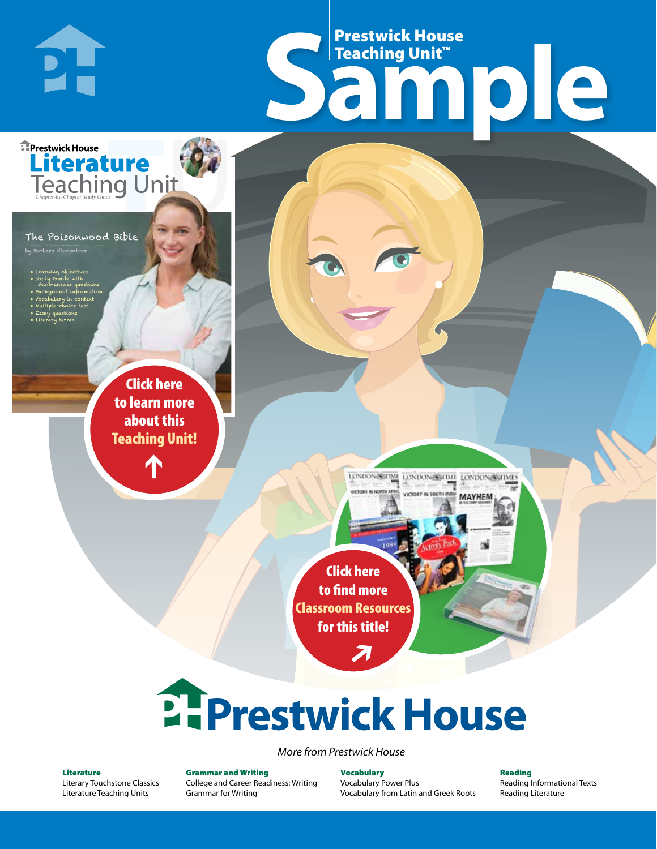## Frestwick House<br>
Sample **Prestwick House**<br>Teaching Unit™ Teaching Unit™

LONDON-SCITME LONDON/SCITME LONDON/SCITMES

**MAYHEM** 

The Poisonwood Bible

**Literature** 

**A Tale of Two Cities**

• Learning objectives • Study Guide with short-answer questions • Background information • Vocabulary in context

m Kingsolver

**DI-**

**E** Prestwick House

• Multiple-choice test • Essay questions

CHARLES DICKENS

• Literary terms

r e o r d e r n o . x x x x x x Click here to learn more about this [Teaching Unit!](https://www.prestwickhouse.com/pdf/id-303270/Poisonwood_Bible_The_-_Downloadable_Teaching_Unit)

 $\mathbf{T}$ 

1

Click here to find more [Classroom Resources](http://teaching-english.prestwickhouse.com/search#w=poisonwood%20bible)  for this title!

 $\overline{\boldsymbol{\lambda}}$ 

# **2. Prestwick House**

#### *More from Prestwick House*

#### Literature

[Literary Touchstone Classics](https://www.prestwickhouse.com/literary-touchstone-classics) [Literature Teaching Units](https://www.prestwickhouse.com/teaching-units)

Grammar and Writing [College and Career Readiness: Writing](https://www.prestwickhouse.com/college-and-career-readiness-writing) [Grammar for Writing](https://www.prestwickhouse.com/book/id-302639/Grammar_for_Writing_-_30_Books_and_Teachers_Edition)

**Vocabulary** [Vocabulary Power Plus](https://www.prestwickhouse.com/vocabulary-power-plus-for-college-and-career-readiness) [Vocabulary from Latin and Greek Roots](https://www.prestwickhouse.com/vocabulary-from-latin-and-greek-roots) Reading

[Reading Informational Texts](https://www.prestwickhouse.com/reading-informational-texts) [Reading Literature](https://www.prestwickhouse.com/reading-literature)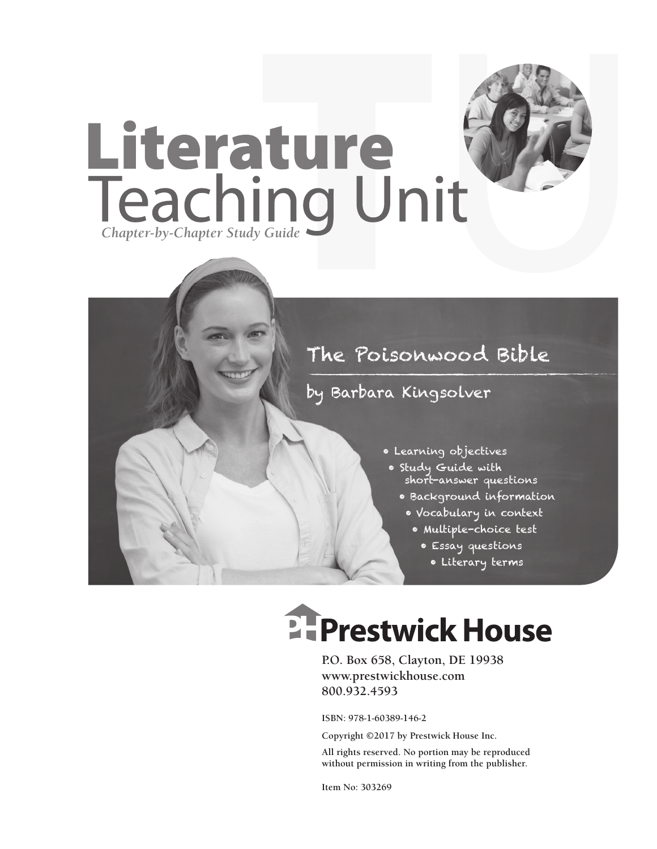

## by Barbara Kingsolver

- Learning objectives
- Study Guide with short-answer questions
	- Background information
	- Vocabulary in context
		- Multiple-choice test
			- Essay questions
				- Literary terms

## **Ellergetwick House**

**P.O. Box 658, Clayton, DE 19938 www.prestwickhouse.com 800.932.4593**

**ISBN: 978-1-60389-146-2**

**Copyright ©2017 by Prestwick House Inc.**

**All rights reserved. No portion may be reproduced without permission in writing from the publisher.** 

**Item No: 303269**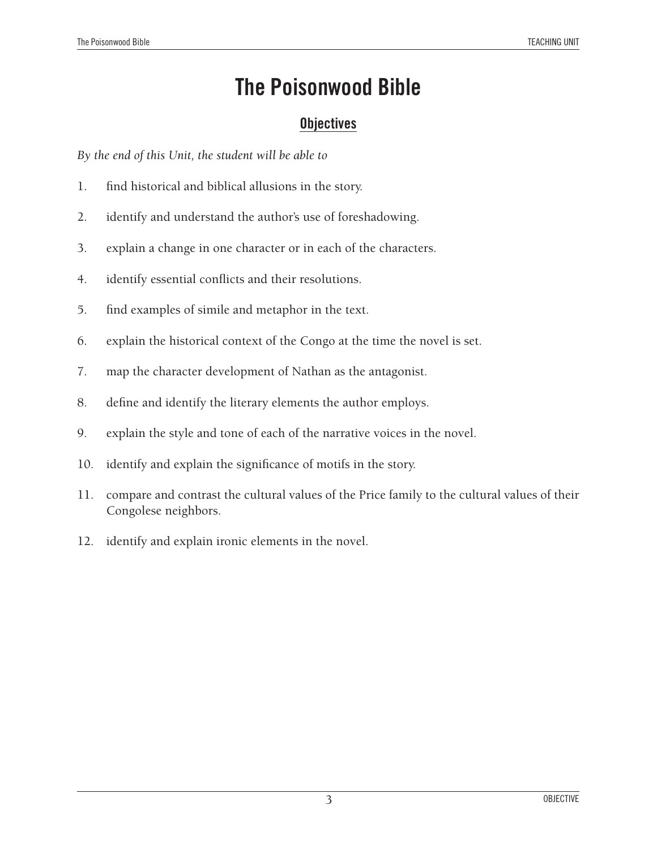## **Objectives**

*By the end of this Unit, the student will be able to*

- 1. find historical and biblical allusions in the story.
- 2. identify and understand the author's use of foreshadowing.
- 3. explain a change in one character or in each of the characters.
- 4. identify essential conflicts and their resolutions.
- 5. find examples of simile and metaphor in the text.
- 6. explain the historical context of the Congo at the time the novel is set.
- 7. map the character development of Nathan as the antagonist.
- 8. define and identify the literary elements the author employs.
- 9. explain the style and tone of each of the narrative voices in the novel.
- 10. identify and explain the significance of motifs in the story.
- 11. compare and contrast the cultural values of the Price family to the cultural values of their Congolese neighbors.
- 12. identify and explain ironic elements in the novel.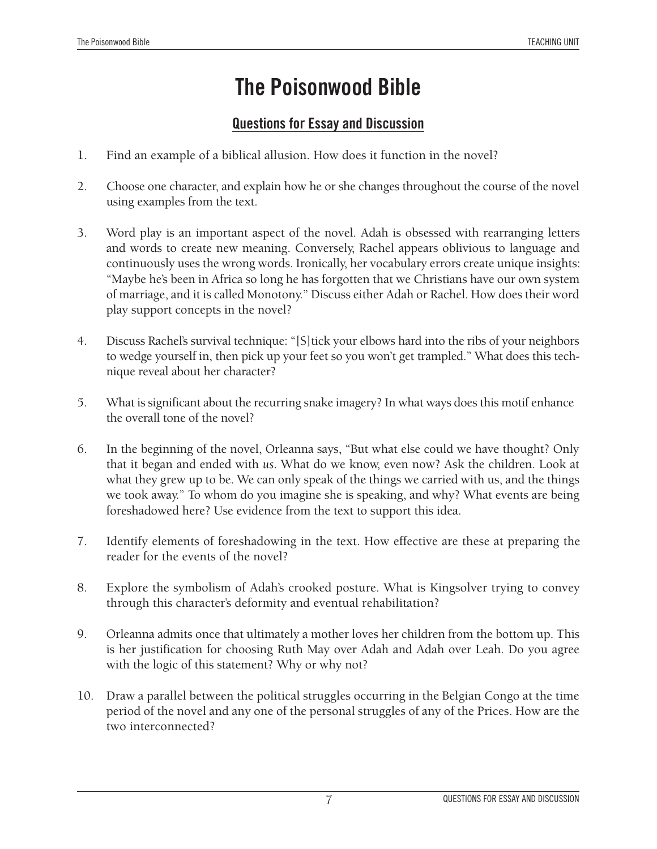## **Questions for Essay and Discussion**

- 1. Find an example of a biblical allusion. How does it function in the novel?
- 2. Choose one character, and explain how he or she changes throughout the course of the novel using examples from the text.
- 3. Word play is an important aspect of the novel. Adah is obsessed with rearranging letters and words to create new meaning. Conversely, Rachel appears oblivious to language and continuously uses the wrong words. Ironically, her vocabulary errors create unique insights: "Maybe he's been in Africa so long he has forgotten that we Christians have our own system of marriage, and it is called Monotony." Discuss either Adah or Rachel. How does their word play support concepts in the novel?
- 4. Discuss Rachel's survival technique: "[S]tick your elbows hard into the ribs of your neighbors to wedge yourself in, then pick up your feet so you won't get trampled." What does this technique reveal about her character?
- 5. What is significant about the recurring snake imagery? In what ways does this motif enhance the overall tone of the novel?
- 6. In the beginning of the novel, Orleanna says, "But what else could we have thought? Only that it began and ended with *us*. What do we know, even now? Ask the children. Look at what they grew up to be. We can only speak of the things we carried with us, and the things we took away." To whom do you imagine she is speaking, and why? What events are being foreshadowed here? Use evidence from the text to support this idea.
- 7. Identify elements of foreshadowing in the text. How effective are these at preparing the reader for the events of the novel?
- 8. Explore the symbolism of Adah's crooked posture. What is Kingsolver trying to convey through this character's deformity and eventual rehabilitation?
- 9. Orleanna admits once that ultimately a mother loves her children from the bottom up. This is her justification for choosing Ruth May over Adah and Adah over Leah. Do you agree with the logic of this statement? Why or why not?
- 10. Draw a parallel between the political struggles occurring in the Belgian Congo at the time period of the novel and any one of the personal struggles of any of the Prices. How are the two interconnected?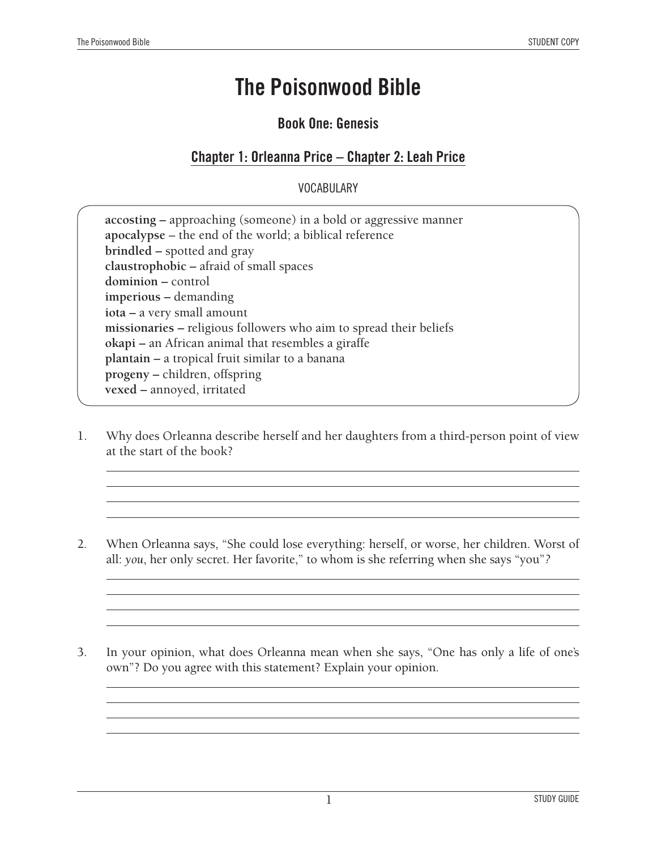### **Book One: Genesis**

### **Chapter 1: Orleanna Price – Chapter 2: Leah Price**

#### VOCABULARY

| accosting – approaching (someone) in a bold or aggressive manner<br>apocalypse – the end of the world; a biblical reference |
|-----------------------------------------------------------------------------------------------------------------------------|
| brindled – spotted and gray                                                                                                 |
| claustrophobic – afraid of small spaces                                                                                     |
| dominion – control                                                                                                          |
| imperious – demanding                                                                                                       |
| iota – a very small amount                                                                                                  |
| missionaries – religious followers who aim to spread their beliefs                                                          |
| okapi – an African animal that resembles a giraffe                                                                          |
| plantain – a tropical fruit similar to a banana                                                                             |
| progeny – children, offspring                                                                                               |
| vexed - annoyed, irritated                                                                                                  |

- 1. Why does Orleanna describe herself and her daughters from a third-person point of view at the start of the book?
- 2. When Orleanna says, "She could lose everything: herself, or worse, her children. Worst of all: *you*, her only secret. Her favorite," to whom is she referring when she says "you"*?*
- 3. In your opinion, what does Orleanna mean when she says, "One has only a life of one's own"? Do you agree with this statement? Explain your opinion.

<u> 1989 - Johann Barbara, martxa alemaniar amerikan a</u>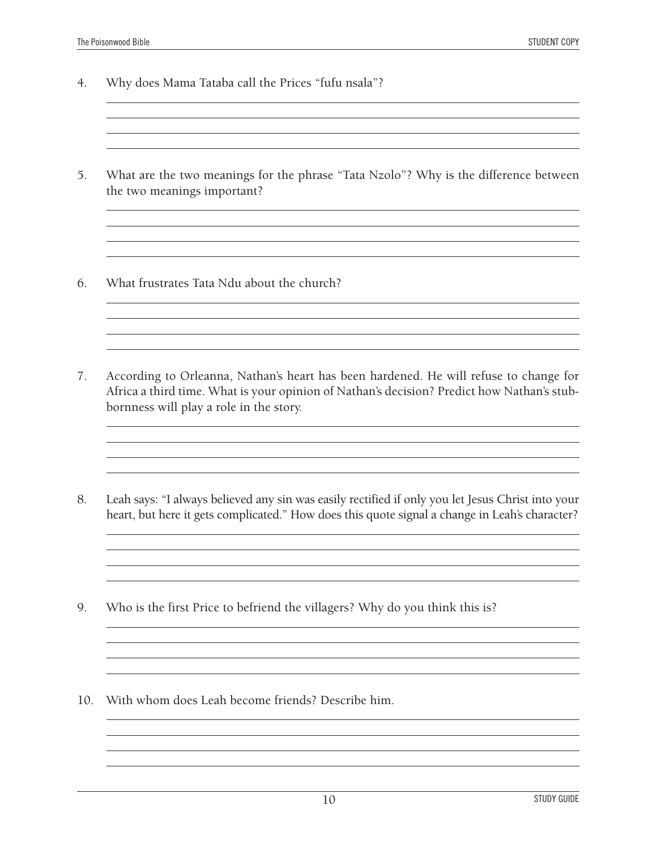- 4. Why does Mama Tataba call the Prices "fufu nsala"?
- 5. What are the two meanings for the phrase "Tata Nzolo"? Why is the difference between the two meanings important?

<u> 1989 - Johann Stoff, amerikansk politiker (d. 1989)</u> <u> 1989 - Andrea Santa Alemania, amerikana amerikana amerikana amerikana amerikana amerikana amerikana amerikan</u> <u> 1989 - Johann Stoff, amerikansk politiker (d. 1989)</u>

<u> 1980 - Johann Stoff, amerikansk politiker (\* 1908)</u>

<u> 1989 - Johann Stoff, deutscher Stoff, der Stoff, der Stoff, der Stoff, der Stoff, der Stoff, der Stoff, der S</u> <u> 1989 - Johann Stoff, deutscher Stoff, der Stoff, der Stoff, der Stoff, der Stoff, der Stoff, der Stoff, der S</u> <u> 1989 - Johann Stoff, amerikansk politiker (d. 1989)</u>

<u> 1989 - Johann Barn, mars ann an t-Amhain Aonaich an t-Aonaich an t-Aonaich ann an t-Aonaich ann an t-Aonaich</u>

<u> 1989 - Johann Stoff, amerikansk politiker (\* 1908)</u> and the control of the control of the control of the control of the control of the control of the control of the

- 6. What frustrates Tata Ndu about the church?
- 7. According to Orleanna, Nathan's heart has been hardened. He will refuse to change for Africa a third time. What is your opinion of Nathan's decision? Predict how Nathan's stubbornness will play a role in the story.
- 8. Leah says: "I always believed any sin was easily rectified if only you let Jesus Christ into your heart, but here it gets complicated." How does this quote signal a change in Leah's character?

<u> 1989 - Johann Stoff, amerikansk politiker (d. 1989)</u> 

- 9. Who is the first Price to befriend the villagers? Why do you think this is?
- 10. With whom does Leah become friends? Describe him.

<u> 1989 - Andrea Station Barbara, amerikan personal (h. 1989).</u> <u> 1989 - Johann Stoff, amerikansk politiker (\* 1908)</u>